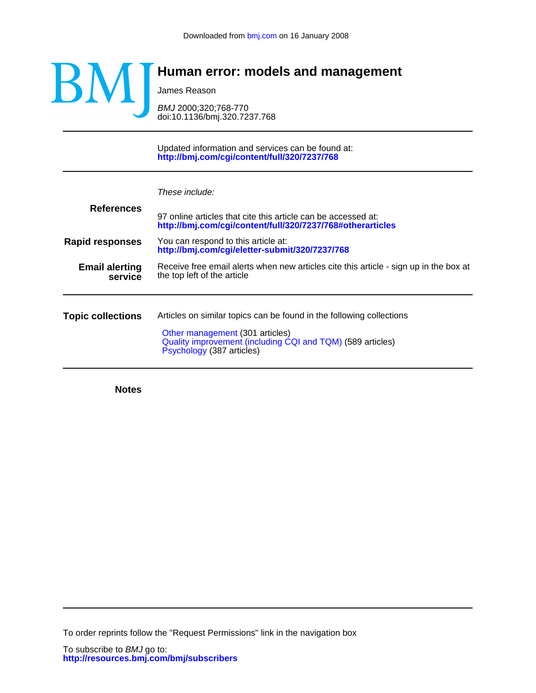

## **Human error: models and management**

James Reason

doi:10.1136/bmj.320.7237.768 BMJ 2000;320;768-770

**<http://bmj.com/cgi/content/full/320/7237/768>** Updated information and services can be found at:

|                                  | These include:                                                                                                                                                        |
|----------------------------------|-----------------------------------------------------------------------------------------------------------------------------------------------------------------------|
| <b>References</b>                | 97 online articles that cite this article can be accessed at:<br>http://bmj.com/cgi/content/full/320/7237/768#otherarticles                                           |
| <b>Rapid responses</b>           | You can respond to this article at:<br>http://bmj.com/cgi/eletter-submit/320/7237/768                                                                                 |
| <b>Email alerting</b><br>service | Receive free email alerts when new articles cite this article - sign up in the box at<br>the top left of the article                                                  |
| <b>Topic collections</b>         | Articles on similar topics can be found in the following collections<br>Other management (301 articles)<br>Quality improvement (including CQI and TQM) (589 articles) |
|                                  | Psychology (387 articles)                                                                                                                                             |

**Notes**

To order reprints follow the "Request Permissions" link in the navigation box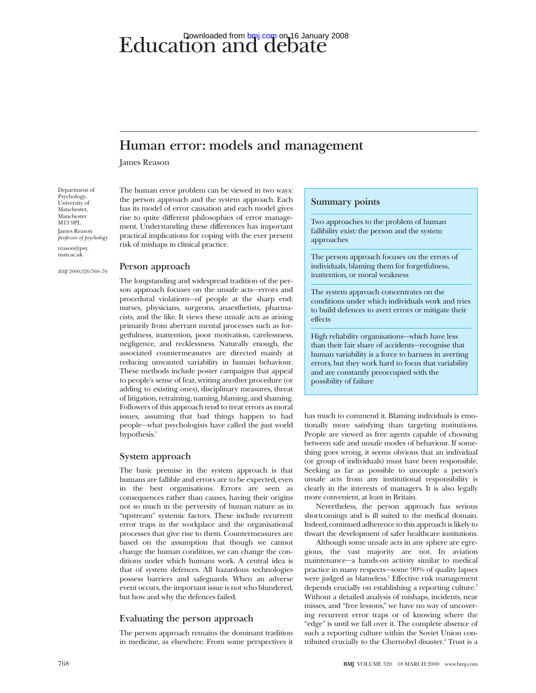# Education and debate of the bank of 16 January 2008

### **Human error: models and management**

James Reason

Department of Psychology, University of Manchester, Manchester M13 9PL James Reason *professor of psychology* reason@psy. man.ac.uk

*BMJ* 2000;320:768–70

The human error problem can be viewed in two ways: the person approach and the system approach. Each has its model of error causation and each model gives rise to quite different philosophies of error management. Understanding these differences has important practical implications for coping with the ever present risk of mishaps in clinical practice.

#### **Person approach**

The longstanding and widespread tradition of the person approach focuses on the unsafe acts—errors and procedural violations—of people at the sharp end: nurses, physicians, surgeons, anaesthetists, pharmacists, and the like. It views these unsafe acts as arising primarily from aberrant mental processes such as forgetfulness, inattention, poor motivation, carelessness, negligence, and recklessness. Naturally enough, the associated countermeasures are directed mainly at reducing unwanted variability in human behaviour. These methods include poster campaigns that appeal to people's sense of fear, writing another procedure (or adding to existing ones), disciplinary measures, threat of litigation, retraining, naming, blaming, and shaming. Followers of this approach tend to treat errors as moral issues, assuming that bad things happen to bad people—what psychologists have called the just world hypothesis.<sup>1</sup>

#### **System approach**

The basic premise in the system approach is that humans are fallible and errors are to be expected, even in the best organisations. Errors are seen as consequences rather than causes, having their origins not so much in the perversity of human nature as in "upstream" systemic factors. These include recurrent error traps in the workplace and the organisational processes that give rise to them. Countermeasures are based on the assumption that though we cannot change the human condition, we can change the conditions under which humans work. A central idea is that of system defences. All hazardous technologies possess barriers and safeguards. When an adverse event occurs, the important issue is not who blundered, but how and why the defences failed.

#### **Evaluating the person approach**

The person approach remains the dominant tradition in medicine, as elsewhere. From some perspectives it

#### **Summary points**

Two approaches to the problem of human fallibility exist: the person and the system approaches

The person approach focuses on the errors of individuals, blaming them for forgetfulness, inattention, or moral weakness

The system approach concentrates on the conditions under which individuals work and tries to build defences to avert errors or mitigate their effects

High reliability organisations—which have less than their fair share of accidents—recognise that human variability is a force to harness in averting errors, but they work hard to focus that variability and are constantly preoccupied with the possibility of failure

has much to commend it. Blaming individuals is emotionally more satisfying than targeting institutions. People are viewed as free agents capable of choosing between safe and unsafe modes of behaviour. If something goes wrong, it seems obvious that an individual (or group of individuals) must have been responsible. Seeking as far as possible to uncouple a person's unsafe acts from any institutional responsibility is clearly in the interests of managers. It is also legally more convenient, at least in Britain.

Nevertheless, the person approach has serious shortcomings and is ill suited to the medical domain. Indeed, continued adherence to this approach is likely to thwart the development of safer healthcare institutions.

Although some unsafe acts in any sphere are egregious, the vast majority are not. In aviation maintenance—a hands-on activity similar to medical practice in many respects—some 90% of quality lapses were judged as blameless.<sup>2</sup> Effective risk management depends crucially on establishing a reporting culture.<sup>3</sup> Without a detailed analysis of mishaps, incidents, near misses, and "free lessons," we have no way of uncovering recurrent error traps or of knowing where the "edge" is until we fall over it. The complete absence of such a reporting culture within the Soviet Union contributed crucially to the Chernobyl disaster.4 Trust is a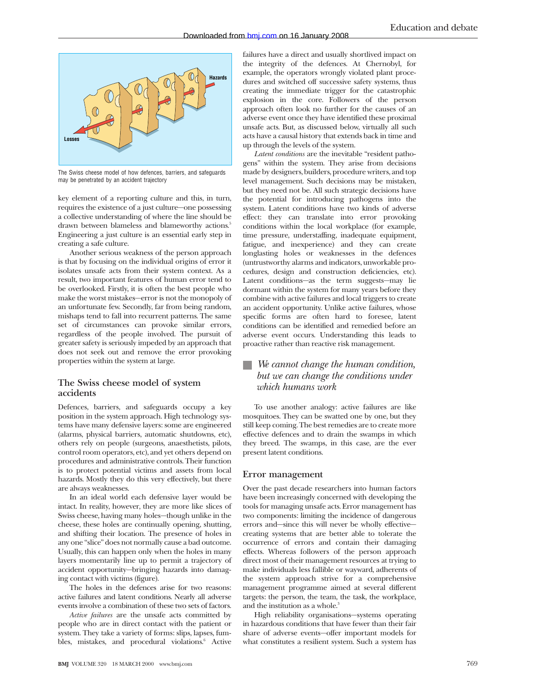

The Swiss cheese model of how defences, barriers, and safeguards may be penetrated by an accident trajectory

key element of a reporting culture and this, in turn, requires the existence of a just culture—one possessing a collective understanding of where the line should be drawn between blameless and blameworthy actions.<sup>5</sup> Engineering a just culture is an essential early step in creating a safe culture.

Another serious weakness of the person approach is that by focusing on the individual origins of error it isolates unsafe acts from their system context. As a result, two important features of human error tend to be overlooked. Firstly, it is often the best people who make the worst mistakes—error is not the monopoly of an unfortunate few. Secondly, far from being random, mishaps tend to fall into recurrent patterns. The same set of circumstances can provoke similar errors, regardless of the people involved. The pursuit of greater safety is seriously impeded by an approach that does not seek out and remove the error provoking properties within the system at large.

#### **The Swiss cheese model of system accidents**

Defences, barriers, and safeguards occupy a key position in the system approach. High technology systems have many defensive layers: some are engineered (alarms, physical barriers, automatic shutdowns, etc), others rely on people (surgeons, anaesthetists, pilots, control room operators, etc), and yet others depend on procedures and administrative controls. Their function is to protect potential victims and assets from local hazards. Mostly they do this very effectively, but there are always weaknesses.

In an ideal world each defensive layer would be intact. In reality, however, they are more like slices of Swiss cheese, having many holes—though unlike in the cheese, these holes are continually opening, shutting, and shifting their location. The presence of holes in any one "slice" does not normally cause a bad outcome. Usually, this can happen only when the holes in many layers momentarily line up to permit a trajectory of accident opportunity—bringing hazards into damaging contact with victims (figure).

The holes in the defences arise for two reasons: active failures and latent conditions. Nearly all adverse events involve a combination of these two sets of factors.

*Active failures* are the unsafe acts committed by people who are in direct contact with the patient or system. They take a variety of forms: slips, lapses, fumbles, mistakes, and procedural violations.<sup>6</sup> Active failures have a direct and usually shortlived impact on the integrity of the defences. At Chernobyl, for example, the operators wrongly violated plant procedures and switched off successive safety systems, thus creating the immediate trigger for the catastrophic explosion in the core. Followers of the person approach often look no further for the causes of an adverse event once they have identified these proximal unsafe acts. But, as discussed below, virtually all such acts have a causal history that extends back in time and up through the levels of the system.

*Latent conditions* are the inevitable "resident pathogens" within the system. They arise from decisions made by designers, builders, procedure writers, and top level management. Such decisions may be mistaken, but they need not be. All such strategic decisions have the potential for introducing pathogens into the system. Latent conditions have two kinds of adverse effect: they can translate into error provoking conditions within the local workplace (for example, time pressure, understaffing, inadequate equipment, fatigue, and inexperience) and they can create longlasting holes or weaknesses in the defences (untrustworthy alarms and indicators, unworkable procedures, design and construction deficiencies, etc). Latent conditions—as the term suggests—may lie dormant within the system for many years before they combine with active failures and local triggers to create an accident opportunity. Unlike active failures, whose specific forms are often hard to foresee, latent conditions can be identified and remedied before an adverse event occurs. Understanding this leads to proactive rather than reactive risk management.

#### *We cannot change the human condition, but we can change the conditions under which humans work*

To use another analogy: active failures are like mosquitoes. They can be swatted one by one, but they still keep coming. The best remedies are to create more effective defences and to drain the swamps in which they breed. The swamps, in this case, are the ever present latent conditions.

#### **Error management**

Over the past decade researchers into human factors have been increasingly concerned with developing the tools for managing unsafe acts. Error management has two components: limiting the incidence of dangerous errors and—since this will never be wholly effective creating systems that are better able to tolerate the occurrence of errors and contain their damaging effects. Whereas followers of the person approach direct most of their management resources at trying to make individuals less fallible or wayward, adherents of the system approach strive for a comprehensive management programme aimed at several different targets: the person, the team, the task, the workplace, and the institution as a whole.<sup>3</sup>

High reliability organisations—systems operating in hazardous conditions that have fewer than their fair share of adverse events—offer important models for what constitutes a resilient system. Such a system has